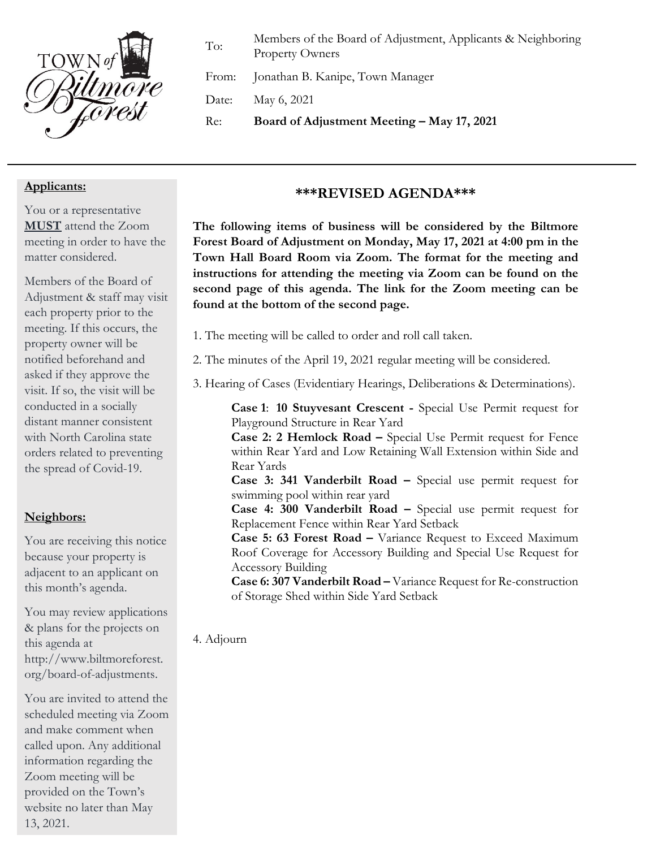

To: Members of the Board of Adjustment, Applicants & Neighboring Property Owners

From: Jonathan B. Kanipe, Town Manager

Date: May 6, 2021

Re: **Board of Adjustment Meeting – May 17, 2021**

## **Applicants:**

You or a representative **MUST** attend the Zoom meeting in order to have the matter considered.

Members of the Board of Adjustment & staff may visit each property prior to the meeting. If this occurs, the property owner will be notified beforehand and asked if they approve the visit. If so, the visit will be conducted in a socially distant manner consistent with North Carolina state orders related to preventing the spread of Covid-19.

# **Neighbors:**

You are receiving this notice because your property is adjacent to an applicant on this month's agenda.

You may review applications & plans for the projects on this agenda at http://www.biltmoreforest. org/board-of-adjustments.

You are invited to attend the scheduled meeting via Zoom and make comment when called upon. Any additional information regarding the Zoom meeting will be provided on the Town's website no later than May 13, 2021.

### **\*\*\*REVISED AGENDA\*\*\***

**The following items of business will be considered by the Biltmore Forest Board of Adjustment on Monday, May 17, 2021 at 4:00 pm in the Town Hall Board Room via Zoom. The format for the meeting and instructions for attending the meeting via Zoom can be found on the second page of this agenda. The link for the Zoom meeting can be found at the bottom of the second page.**

- 1. The meeting will be called to order and roll call taken.
- 2. The minutes of the April 19, 2021 regular meeting will be considered.
- 3. Hearing of Cases (Evidentiary Hearings, Deliberations & Determinations).

**Case 1**: **10 Stuyvesant Crescent -** Special Use Permit request for Playground Structure in Rear Yard

**Case 2: 2 Hemlock Road –** Special Use Permit request for Fence within Rear Yard and Low Retaining Wall Extension within Side and Rear Yards

**Case 3: 341 Vanderbilt Road –** Special use permit request for swimming pool within rear yard

**Case 4: 300 Vanderbilt Road –** Special use permit request for Replacement Fence within Rear Yard Setback

**Case 5: 63 Forest Road –** Variance Request to Exceed Maximum Roof Coverage for Accessory Building and Special Use Request for Accessory Building

**Case 6: 307 Vanderbilt Road –** Variance Request for Re-construction of Storage Shed within Side Yard Setback

4. Adjourn